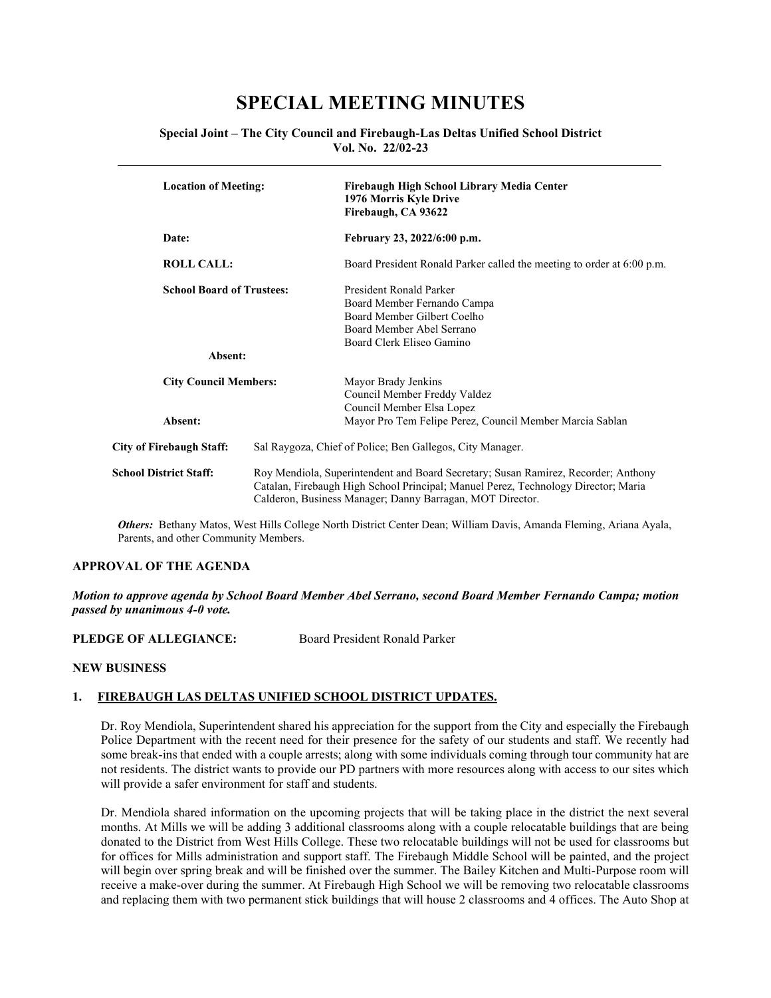# **SPECIAL MEETING MINUTES**

#### **Special Joint – The City Council and Firebaugh-Las Deltas Unified School District Vol. No. 22/02-23**

| <b>Location of Meeting:</b>      |                                                                                                                                                                                                                                       | Firebaugh High School Library Media Center<br>1976 Morris Kyle Drive<br>Firebaugh, CA 93622                                                     |
|----------------------------------|---------------------------------------------------------------------------------------------------------------------------------------------------------------------------------------------------------------------------------------|-------------------------------------------------------------------------------------------------------------------------------------------------|
| Date:                            |                                                                                                                                                                                                                                       | February 23, 2022/6:00 p.m.                                                                                                                     |
| <b>ROLL CALL:</b>                |                                                                                                                                                                                                                                       | Board President Ronald Parker called the meeting to order at 6:00 p.m.                                                                          |
| <b>School Board of Trustees:</b> |                                                                                                                                                                                                                                       | President Ronald Parker<br>Board Member Fernando Campa<br>Board Member Gilbert Coelho<br>Board Member Abel Serrano<br>Board Clerk Eliseo Gamino |
| Absent:                          |                                                                                                                                                                                                                                       |                                                                                                                                                 |
| <b>City Council Members:</b>     |                                                                                                                                                                                                                                       | Mayor Brady Jenkins<br>Council Member Freddy Valdez<br>Council Member Elsa Lopez                                                                |
| Absent:                          |                                                                                                                                                                                                                                       | Mayor Pro Tem Felipe Perez, Council Member Marcia Sablan                                                                                        |
| <b>City of Firebaugh Staff:</b>  | Sal Raygoza, Chief of Police; Ben Gallegos, City Manager.                                                                                                                                                                             |                                                                                                                                                 |
| <b>School District Staff:</b>    | Roy Mendiola, Superintendent and Board Secretary; Susan Ramirez, Recorder; Anthony<br>Catalan, Firebaugh High School Principal; Manuel Perez, Technology Director; Maria<br>Calderon, Business Manager; Danny Barragan, MOT Director. |                                                                                                                                                 |

*Others:*Bethany Matos, West Hills College North District Center Dean; William Davis, Amanda Fleming, Ariana Ayala, Parents, and other Community Members.

#### **APPROVAL OF THE AGENDA**

*Motion to approve agenda by School Board Member Abel Serrano, second Board Member Fernando Campa; motion passed by unanimous 4-0 vote.* 

PLEDGE OF ALLEGIANCE: Board President Ronald Parker

#### **NEW BUSINESS**

l

## **1. FIREBAUGH LAS DELTAS UNIFIED SCHOOL DISTRICT UPDATES.**

Dr. Roy Mendiola, Superintendent shared his appreciation for the support from the City and especially the Firebaugh Police Department with the recent need for their presence for the safety of our students and staff. We recently had some break-ins that ended with a couple arrests; along with some individuals coming through tour community hat are not residents. The district wants to provide our PD partners with more resources along with access to our sites which will provide a safer environment for staff and students.

Dr. Mendiola shared information on the upcoming projects that will be taking place in the district the next several months. At Mills we will be adding 3 additional classrooms along with a couple relocatable buildings that are being donated to the District from West Hills College. These two relocatable buildings will not be used for classrooms but for offices for Mills administration and support staff. The Firebaugh Middle School will be painted, and the project will begin over spring break and will be finished over the summer. The Bailey Kitchen and Multi-Purpose room will receive a make-over during the summer. At Firebaugh High School we will be removing two relocatable classrooms and replacing them with two permanent stick buildings that will house 2 classrooms and 4 offices. The Auto Shop at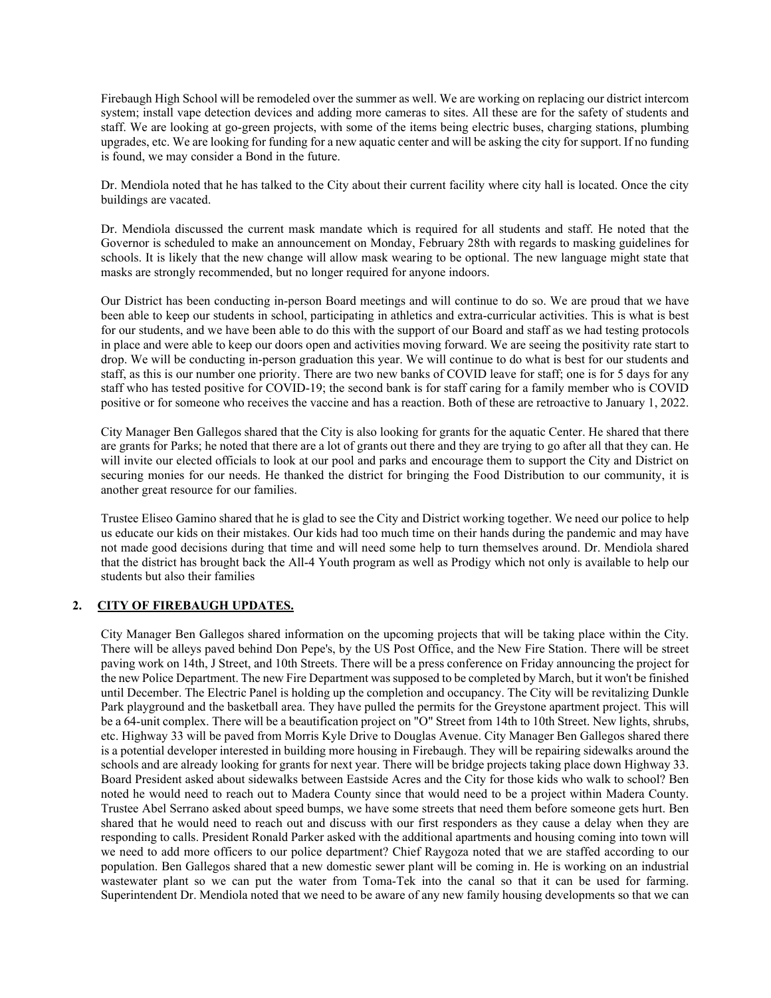Firebaugh High School will be remodeled over the summer as well. We are working on replacing our district intercom system; install vape detection devices and adding more cameras to sites. All these are for the safety of students and staff. We are looking at go-green projects, with some of the items being electric buses, charging stations, plumbing upgrades, etc. We are looking for funding for a new aquatic center and will be asking the city for support. If no funding is found, we may consider a Bond in the future.

Dr. Mendiola noted that he has talked to the City about their current facility where city hall is located. Once the city buildings are vacated.

Dr. Mendiola discussed the current mask mandate which is required for all students and staff. He noted that the Governor is scheduled to make an announcement on Monday, February 28th with regards to masking guidelines for schools. It is likely that the new change will allow mask wearing to be optional. The new language might state that masks are strongly recommended, but no longer required for anyone indoors.

Our District has been conducting in-person Board meetings and will continue to do so. We are proud that we have been able to keep our students in school, participating in athletics and extra-curricular activities. This is what is best for our students, and we have been able to do this with the support of our Board and staff as we had testing protocols in place and were able to keep our doors open and activities moving forward. We are seeing the positivity rate start to drop. We will be conducting in-person graduation this year. We will continue to do what is best for our students and staff, as this is our number one priority. There are two new banks of COVID leave for staff; one is for 5 days for any staff who has tested positive for COVID-19; the second bank is for staff caring for a family member who is COVID positive or for someone who receives the vaccine and has a reaction. Both of these are retroactive to January 1, 2022.

City Manager Ben Gallegos shared that the City is also looking for grants for the aquatic Center. He shared that there are grants for Parks; he noted that there are a lot of grants out there and they are trying to go after all that they can. He will invite our elected officials to look at our pool and parks and encourage them to support the City and District on securing monies for our needs. He thanked the district for bringing the Food Distribution to our community, it is another great resource for our families.

Trustee Eliseo Gamino shared that he is glad to see the City and District working together. We need our police to help us educate our kids on their mistakes. Our kids had too much time on their hands during the pandemic and may have not made good decisions during that time and will need some help to turn themselves around. Dr. Mendiola shared that the district has brought back the All-4 Youth program as well as Prodigy which not only is available to help our students but also their families

## **2. CITY OF FIREBAUGH UPDATES.**

City Manager Ben Gallegos shared information on the upcoming projects that will be taking place within the City. There will be alleys paved behind Don Pepe's, by the US Post Office, and the New Fire Station. There will be street paving work on 14th, J Street, and 10th Streets. There will be a press conference on Friday announcing the project for the new Police Department. The new Fire Department was supposed to be completed by March, but it won't be finished until December. The Electric Panel is holding up the completion and occupancy. The City will be revitalizing Dunkle Park playground and the basketball area. They have pulled the permits for the Greystone apartment project. This will be a 64-unit complex. There will be a beautification project on "O" Street from 14th to 10th Street. New lights, shrubs, etc. Highway 33 will be paved from Morris Kyle Drive to Douglas Avenue. City Manager Ben Gallegos shared there is a potential developer interested in building more housing in Firebaugh. They will be repairing sidewalks around the schools and are already looking for grants for next year. There will be bridge projects taking place down Highway 33. Board President asked about sidewalks between Eastside Acres and the City for those kids who walk to school? Ben noted he would need to reach out to Madera County since that would need to be a project within Madera County. Trustee Abel Serrano asked about speed bumps, we have some streets that need them before someone gets hurt. Ben shared that he would need to reach out and discuss with our first responders as they cause a delay when they are responding to calls. President Ronald Parker asked with the additional apartments and housing coming into town will we need to add more officers to our police department? Chief Raygoza noted that we are staffed according to our population. Ben Gallegos shared that a new domestic sewer plant will be coming in. He is working on an industrial wastewater plant so we can put the water from Toma-Tek into the canal so that it can be used for farming. Superintendent Dr. Mendiola noted that we need to be aware of any new family housing developments so that we can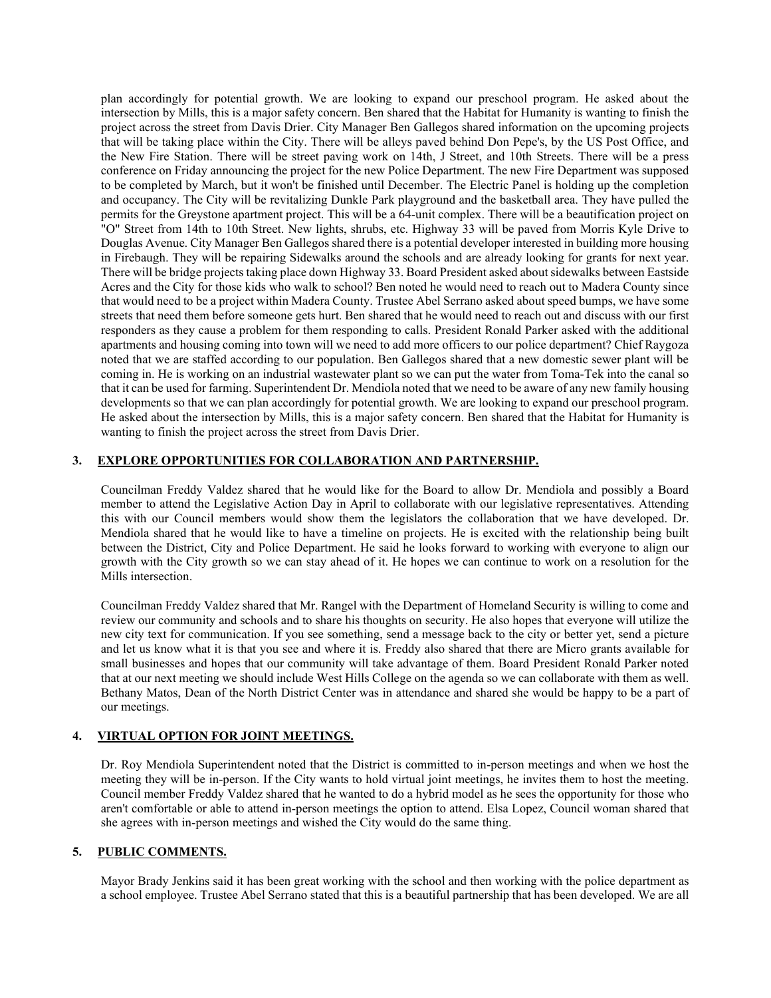plan accordingly for potential growth. We are looking to expand our preschool program. He asked about the intersection by Mills, this is a major safety concern. Ben shared that the Habitat for Humanity is wanting to finish the project across the street from Davis Drier. City Manager Ben Gallegos shared information on the upcoming projects that will be taking place within the City. There will be alleys paved behind Don Pepe's, by the US Post Office, and the New Fire Station. There will be street paving work on 14th, J Street, and 10th Streets. There will be a press conference on Friday announcing the project for the new Police Department. The new Fire Department was supposed to be completed by March, but it won't be finished until December. The Electric Panel is holding up the completion and occupancy. The City will be revitalizing Dunkle Park playground and the basketball area. They have pulled the permits for the Greystone apartment project. This will be a 64-unit complex. There will be a beautification project on "O" Street from 14th to 10th Street. New lights, shrubs, etc. Highway 33 will be paved from Morris Kyle Drive to Douglas Avenue. City Manager Ben Gallegos shared there is a potential developer interested in building more housing in Firebaugh. They will be repairing Sidewalks around the schools and are already looking for grants for next year. There will be bridge projects taking place down Highway 33. Board President asked about sidewalks between Eastside Acres and the City for those kids who walk to school? Ben noted he would need to reach out to Madera County since that would need to be a project within Madera County. Trustee Abel Serrano asked about speed bumps, we have some streets that need them before someone gets hurt. Ben shared that he would need to reach out and discuss with our first responders as they cause a problem for them responding to calls. President Ronald Parker asked with the additional apartments and housing coming into town will we need to add more officers to our police department? Chief Raygoza noted that we are staffed according to our population. Ben Gallegos shared that a new domestic sewer plant will be coming in. He is working on an industrial wastewater plant so we can put the water from Toma-Tek into the canal so that it can be used for farming. Superintendent Dr. Mendiola noted that we need to be aware of any new family housing developments so that we can plan accordingly for potential growth. We are looking to expand our preschool program. He asked about the intersection by Mills, this is a major safety concern. Ben shared that the Habitat for Humanity is wanting to finish the project across the street from Davis Drier.

## **3. EXPLORE OPPORTUNITIES FOR COLLABORATION AND PARTNERSHIP.**

Councilman Freddy Valdez shared that he would like for the Board to allow Dr. Mendiola and possibly a Board member to attend the Legislative Action Day in April to collaborate with our legislative representatives. Attending this with our Council members would show them the legislators the collaboration that we have developed. Dr. Mendiola shared that he would like to have a timeline on projects. He is excited with the relationship being built between the District, City and Police Department. He said he looks forward to working with everyone to align our growth with the City growth so we can stay ahead of it. He hopes we can continue to work on a resolution for the Mills intersection.

Councilman Freddy Valdez shared that Mr. Rangel with the Department of Homeland Security is willing to come and review our community and schools and to share his thoughts on security. He also hopes that everyone will utilize the new city text for communication. If you see something, send a message back to the city or better yet, send a picture and let us know what it is that you see and where it is. Freddy also shared that there are Micro grants available for small businesses and hopes that our community will take advantage of them. Board President Ronald Parker noted that at our next meeting we should include West Hills College on the agenda so we can collaborate with them as well. Bethany Matos, Dean of the North District Center was in attendance and shared she would be happy to be a part of our meetings.

## **4. VIRTUAL OPTION FOR JOINT MEETINGS.**

Dr. Roy Mendiola Superintendent noted that the District is committed to in-person meetings and when we host the meeting they will be in-person. If the City wants to hold virtual joint meetings, he invites them to host the meeting. Council member Freddy Valdez shared that he wanted to do a hybrid model as he sees the opportunity for those who aren't comfortable or able to attend in-person meetings the option to attend. Elsa Lopez, Council woman shared that she agrees with in-person meetings and wished the City would do the same thing.

## **5. PUBLIC COMMENTS.**

Mayor Brady Jenkins said it has been great working with the school and then working with the police department as a school employee. Trustee Abel Serrano stated that this is a beautiful partnership that has been developed. We are all